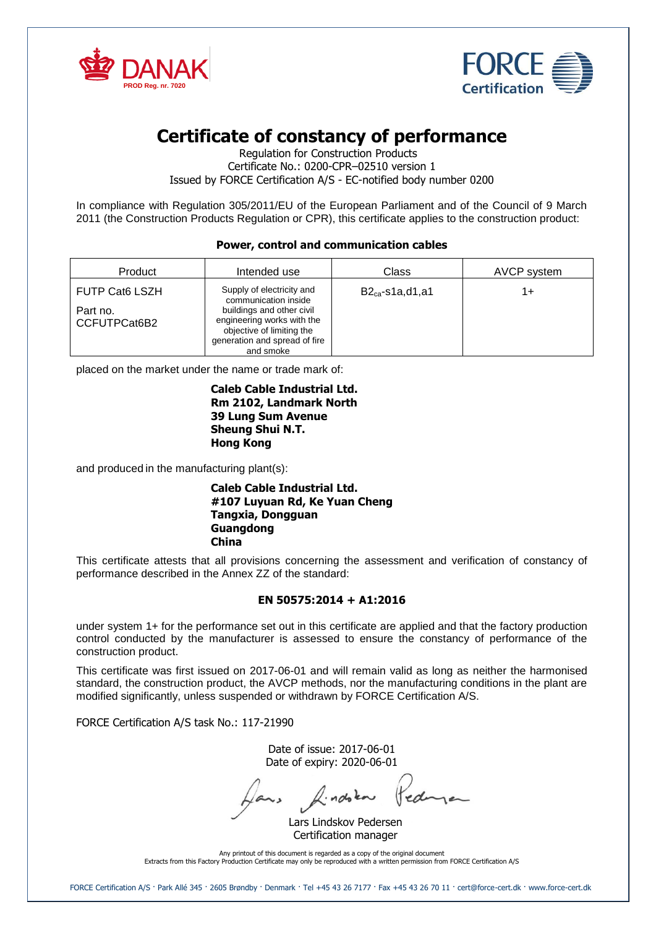



# **Certificate of constancy of performance**

Regulation for Construction Products Certificate No.: 0200-CPR–02510 version 1 Issued by FORCE Certification A/S - EC-notified body number 0200

In compliance with Regulation 305/2011/EU of the European Parliament and of the Council of 9 March 2011 (the Construction Products Regulation or CPR), this certificate applies to the construction product:

## **Power, control and communication cables**

| Product                  | Intended use                                                                                                                       | Class                | AVCP system |
|--------------------------|------------------------------------------------------------------------------------------------------------------------------------|----------------------|-------------|
| <b>FUTP Cat6 LSZH</b>    | Supply of electricity and<br>communication inside                                                                                  | $B2_{ca}$ -s1a,d1,a1 | 1+          |
| Part no.<br>CCFUTPCat6B2 | buildings and other civil<br>engineering works with the<br>objective of limiting the<br>generation and spread of fire<br>and smoke |                      |             |

placed on the market under the name or trade mark of:

#### **Caleb Cable Industrial Ltd. Rm 2102, Landmark North 39 Lung Sum Avenue Sheung Shui N.T. Hong Kong**

and produced in the manufacturing plant(s):

#### **Caleb Cable Industrial Ltd. #107 Luyuan Rd, Ke Yuan Cheng Tangxia, Dongguan Guangdong China**

This certificate attests that all provisions concerning the assessment and verification of constancy of performance described in the Annex ZZ of the standard:

## **EN 50575:2014 + A1:2016**

under system 1+ for the performance set out in this certificate are applied and that the factory production control conducted by the manufacturer is assessed to ensure the constancy of performance of the construction product.

This certificate was first issued on 2017-06-01 and will remain valid as long as neither the harmonised standard, the construction product, the AVCP methods, nor the manufacturing conditions in the plant are modified significantly, unless suspended or withdrawn by FORCE Certification A/S.

FORCE Certification A/S task No.: 117-21990

Date of issue: 2017-06-01 Date of expiry: 2020-06-01

Jans Aindoka

Lars Lindskov Pedersen Certification manager

Any printout of this document is regarded as a copy of the original document Extracts from this Factory Production Certificate may only be reproduced with a written permission from FORCE Certification A/S